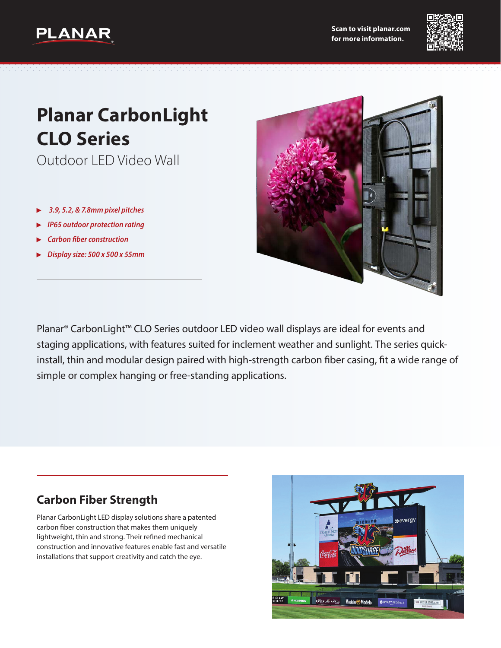



# **Planar CarbonLight CLO Series**

Outdoor LED Video Wall

- ▶ *3.9, 5.2, & 7.8mm pixel pitches*
- ▶ *IP65 outdoor protection rating*
- **Carbon fiber construction**
- ▶ *Display size: 500 x 500 x 55mm*



Planar® CarbonLight™ CLO Series outdoor LED video wall displays are ideal for events and staging applications, with features suited for inclement weather and sunlight. The series quickinstall, thin and modular design paired with high-strength carbon fiber casing, fit a wide range of simple or complex hanging or free-standing applications.

#### **Carbon Fiber Strength**

Planar CarbonLight LED display solutions share a patented carbon fiber construction that makes them uniquely lightweight, thin and strong. Their refined mechanical construction and innovative features enable fast and versatile installations that support creativity and catch the eye.